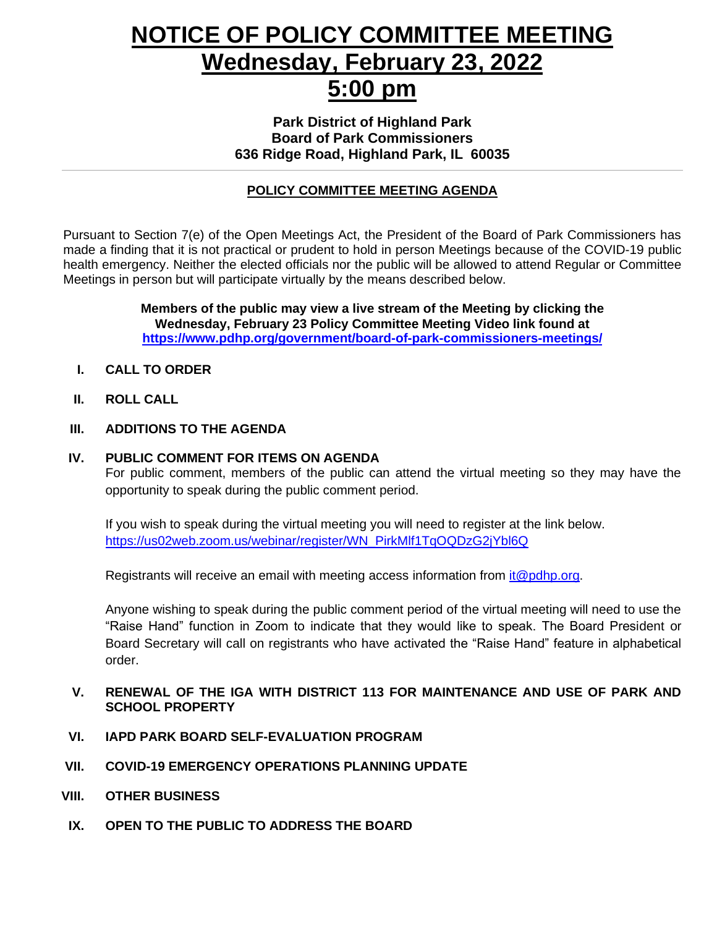## **NOTICE OF POLICY COMMITTEE MEETING Wednesday, February 23, 2022 5:00 pm**

**Park District of Highland Park Board of Park Commissioners 636 Ridge Road, Highland Park, IL 60035**

#### **POLICY COMMITTEE MEETING AGENDA**

Pursuant to Section 7(e) of the Open Meetings Act, the President of the Board of Park Commissioners has made a finding that it is not practical or prudent to hold in person Meetings because of the COVID-19 public health emergency. Neither the elected officials nor the public will be allowed to attend Regular or Committee Meetings in person but will participate virtually by the means described below.

> **Members of the public may view a live stream of the Meeting by clicking the Wednesday, February 23 Policy Committee Meeting Video link found at <https://www.pdhp.org/government/board-of-park-commissioners-meetings/>**

- **I. CALL TO ORDER**
- **II. ROLL CALL**

#### **III. ADDITIONS TO THE AGENDA**

#### **IV. PUBLIC COMMENT FOR ITEMS ON AGENDA**

For public comment, members of the public can attend the virtual meeting so they may have the opportunity to speak during the public comment period.

If you wish to speak during the virtual meeting you will need to register at the link below. [https://us02web.zoom.us/webinar/register/WN\\_PirkMlf1TqOQDzG2jYbl6Q](https://us02web.zoom.us/webinar/register/WN_PirkMlf1TqOQDzG2jYbl6Q)

Registrants will receive an email with meeting access information from [it@pdhp.org.](mailto:it@pdhp.org)

Anyone wishing to speak during the public comment period of the virtual meeting will need to use the "Raise Hand" function in Zoom to indicate that they would like to speak. The Board President or Board Secretary will call on registrants who have activated the "Raise Hand" feature in alphabetical order.

#### **V. RENEWAL OF THE IGA WITH DISTRICT 113 FOR MAINTENANCE AND USE OF PARK AND SCHOOL PROPERTY**

- **VI. IAPD PARK BOARD SELF-EVALUATION PROGRAM**
- **VII. COVID-19 EMERGENCY OPERATIONS PLANNING UPDATE**
- **VIII. OTHER BUSINESS**
- **IX. OPEN TO THE PUBLIC TO ADDRESS THE BOARD**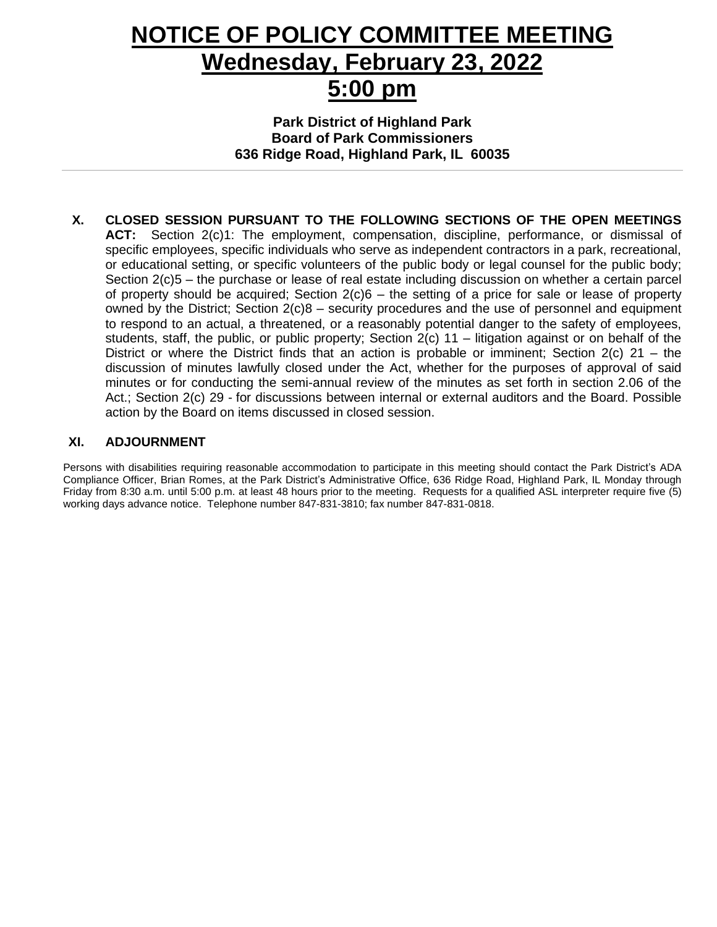## **NOTICE OF POLICY COMMITTEE MEETING Wednesday, February 23, 2022 5:00 pm**

**Park District of Highland Park Board of Park Commissioners 636 Ridge Road, Highland Park, IL 60035**

**X. CLOSED SESSION PURSUANT TO THE FOLLOWING SECTIONS OF THE OPEN MEETINGS ACT:** Section 2(c)1: The employment, compensation, discipline, performance, or dismissal of specific employees, specific individuals who serve as independent contractors in a park, recreational, or educational setting, or specific volunteers of the public body or legal counsel for the public body; Section 2(c)5 – the purchase or lease of real estate including discussion on whether a certain parcel of property should be acquired; Section  $2(c)6 -$  the setting of a price for sale or lease of property owned by the District; Section  $2(c)8 -$  security procedures and the use of personnel and equipment to respond to an actual, a threatened, or a reasonably potential danger to the safety of employees, students, staff, the public, or public property; Section 2(c) 11 – litigation against or on behalf of the District or where the District finds that an action is probable or imminent; Section 2(c) 21 – the discussion of minutes lawfully closed under the Act, whether for the purposes of approval of said minutes or for conducting the semi-annual review of the minutes as set forth in section 2.06 of the Act.; Section 2(c) 29 - for discussions between internal or external auditors and the Board. Possible action by the Board on items discussed in closed session.

#### **XI. ADJOURNMENT**

Persons with disabilities requiring reasonable accommodation to participate in this meeting should contact the Park District's ADA Compliance Officer, Brian Romes, at the Park District's Administrative Office, 636 Ridge Road, Highland Park, IL Monday through Friday from 8:30 a.m. until 5:00 p.m. at least 48 hours prior to the meeting. Requests for a qualified ASL interpreter require five (5) working days advance notice. Telephone number 847-831-3810; fax number 847-831-0818.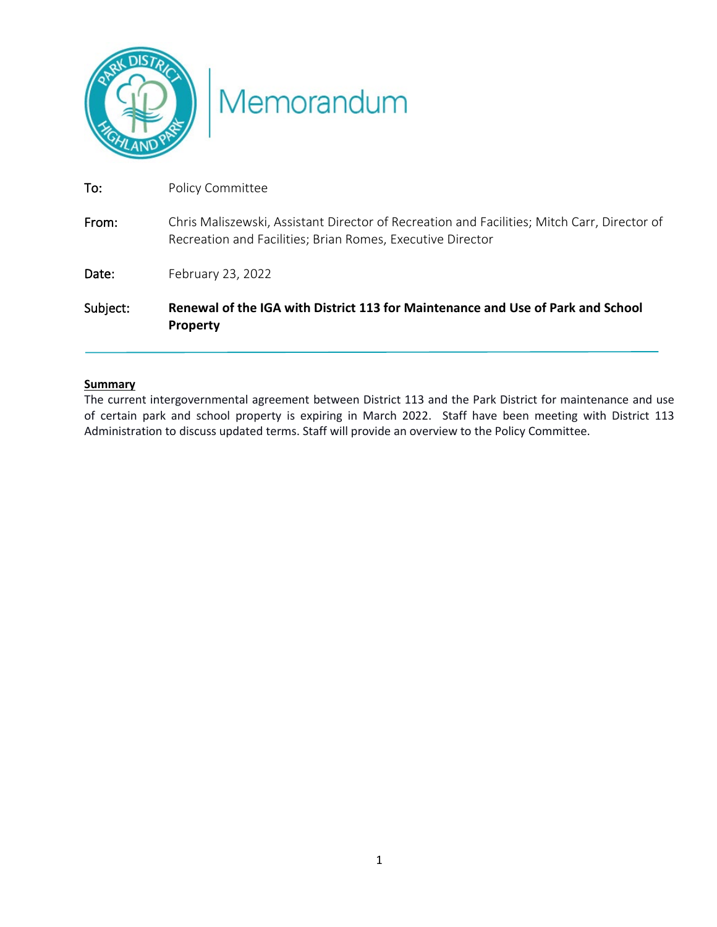

# Memorandum

| Subject: | Renewal of the IGA with District 113 for Maintenance and Use of Park and School<br><b>Property</b>                                                        |
|----------|-----------------------------------------------------------------------------------------------------------------------------------------------------------|
| Date:    | February 23, 2022                                                                                                                                         |
| From:    | Chris Maliszewski, Assistant Director of Recreation and Facilities; Mitch Carr, Director of<br>Recreation and Facilities; Brian Romes, Executive Director |
| To:      | Policy Committee                                                                                                                                          |

#### **Summary**

The current intergovernmental agreement between District 113 and the Park District for maintenance and use of certain park and school property is expiring in March 2022. Staff have been meeting with District 113 Administration to discuss updated terms. Staff will provide an overview to the Policy Committee.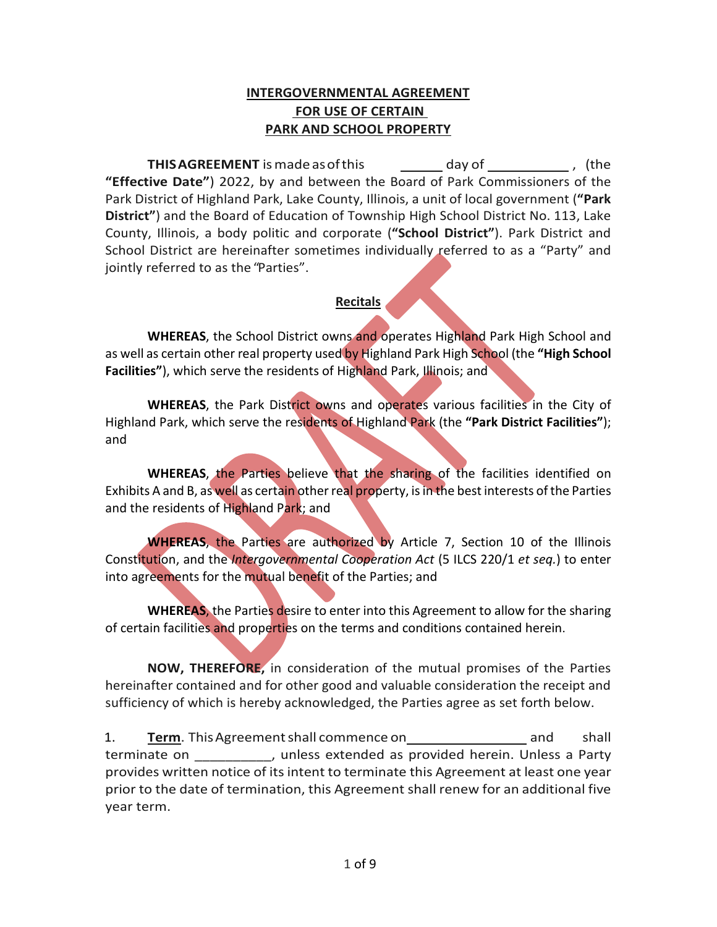#### **INTERGOVERNMENTAL AGREEMENT FOR USE OF CERTAIN PARK AND SCHOOL PROPERTY**

**THIS AGREEMENT** is made as of this  $\frac{1}{\sqrt{1-\frac{1}{\sqrt{1-\frac{1}{\sqrt{1-\frac{1}{\sqrt{1-\frac{1}{\sqrt{1-\frac{1}{\sqrt{1-\frac{1}{\sqrt{1-\frac{1}{\sqrt{1-\frac{1}{\sqrt{1-\frac{1}{\sqrt{1-\frac{1}{\sqrt{1-\frac{1}{\sqrt{1-\frac{1}{\sqrt{1-\frac{1}{\sqrt{1-\frac{1}{\sqrt{1-\frac{1}{\sqrt{1-\frac{1}{\sqrt{1-\frac{1}{\sqrt{1-\frac{1}{\sqrt{1-\frac{1}{\sqrt{1-\frac{1}{$ **"Effective Date"**) 2022, by and between the Board of Park Commissioners of the Park District of Highland Park, Lake County, Illinois, a unit of local government (**"Park District"**) and the Board of Education of Township High School District No. 113, Lake County, Illinois, a body politic and corporate (**"School District"**). Park District and School District are hereinafter sometimes individually referred to as a "Party" and jointly referred to as the "Parties".

#### **Recitals**

**WHEREAS**, the School District owns and operates Highland Park High School and as well as certain other real property used by Highland Park High School (the **"High School Facilities"**), which serve the residents of Highland Park, Illinois; and

**WHEREAS**, the Park District owns and operates various facilities in the City of Highland Park, which serve the residents of Highland Park (the **"Park District Facilities"**); and

WHEREAS, the Parties believe that the sharing of the facilities identified on Exhibits A and B, as well as certain other real property, is in the best interests of the Parties and the residents of Highland Park; and

**WHEREAS**, the Parties are authorized by Article 7, Section 10 of the Illinois Constitution, and the *Intergovernmental Cooperation Act* (5 ILCS 220/1 *et seq.*) to enter into agreements for the mutual benefit of the Parties; and

**WHEREAS**, the Parties desire to enter into this Agreement to allow for the sharing of certain facilities and properties on the terms and conditions contained herein.

**NOW, THEREFORE,** in consideration of the mutual promises of the Parties hereinafter contained and for other good and valuable consideration the receipt and sufficiency of which is hereby acknowledged, the Parties agree as set forth below.

1. **Term**. This Agreement shall commence on and shall terminate on \_\_\_\_\_\_\_\_\_\_, unless extended as provided herein. Unless a Party provides written notice of its intent to terminate this Agreement at least one year prior to the date of termination, this Agreement shall renew for an additional five year term.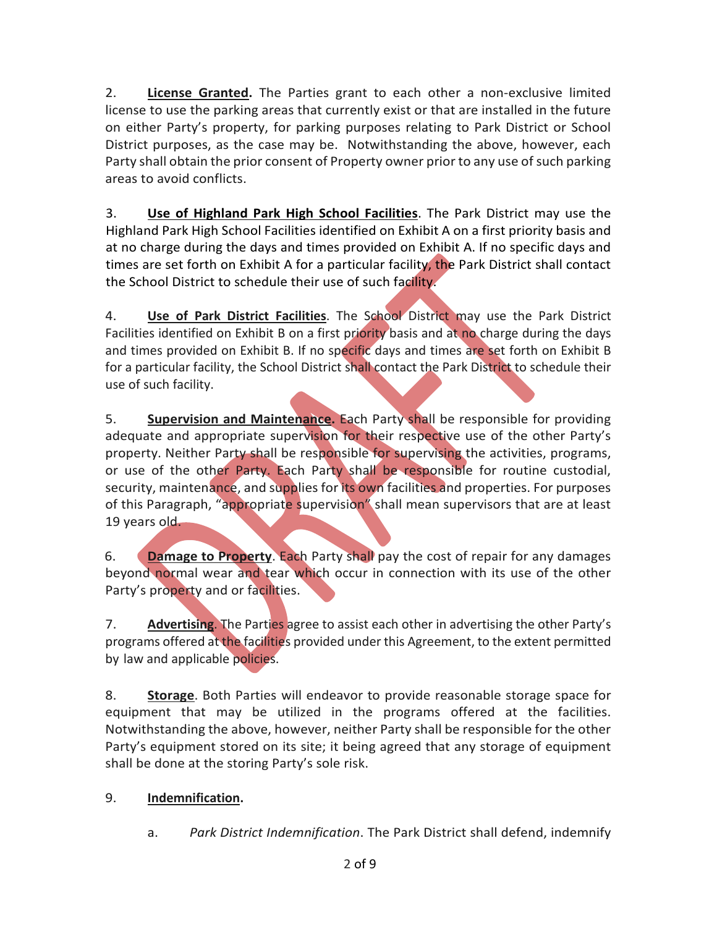2. **License Granted.** The Parties grant to each other a non-exclusive limited license to use the parking areas that currently exist or that are installed in the future on either Party's property, for parking purposes relating to Park District or School District purposes, as the case may be. Notwithstanding the above, however, each Party shall obtain the prior consent of Property owner prior to any use of such parking areas to avoid conflicts.

3. **Use of Highland Park High School Facilities**. The Park District may use the Highland Park High School Facilities identified on Exhibit A on a first priority basis and at no charge during the days and times provided on Exhibit A. If no specific days and times are set forth on Exhibit A for a particular facility, the Park District shall contact the School District to schedule their use of such facility.

4. **Use of Park District Facilities**. The School District may use the Park District Facilities identified on Exhibit B on a first priority basis and at no charge during the days and times provided on Exhibit B. If no specific days and times are set forth on Exhibit B for a particular facility, the School District shall contact the Park District to schedule their use of such facility.

5. **Supervision and Maintenance.** Each Party shall be responsible for providing adequate and appropriate supervision for their respective use of the other Party's property. Neither Party shall be responsible for supervising the activities, programs, or use of the other Party. Each Party shall be responsible for routine custodial, security, maintenance, and supplies for its own facilities and properties. For purposes of this Paragraph, "appropriate supervision" shall mean supervisors that are at least 19 years old.

6. **Damage to Property**. Each Party shall pay the cost of repair for any damages beyond normal wear and tear which occur in connection with its use of the other Party's property and or facilities.

7. **Advertising**. The Parties agree to assist each other in advertising the other Party's programs offered at the facilities provided under this Agreement, to the extent permitted by law and applicable policies.

8. **Storage**. Both Parties will endeavor to provide reasonable storage space for equipment that may be utilized in the programs offered at the facilities. Notwithstanding the above, however, neither Party shall be responsible for the other Party's equipment stored on its site; it being agreed that any storage of equipment shall be done at the storing Party's sole risk.

### 9. **Indemnification.**

a. *Park District Indemnification*. The Park District shall defend, indemnify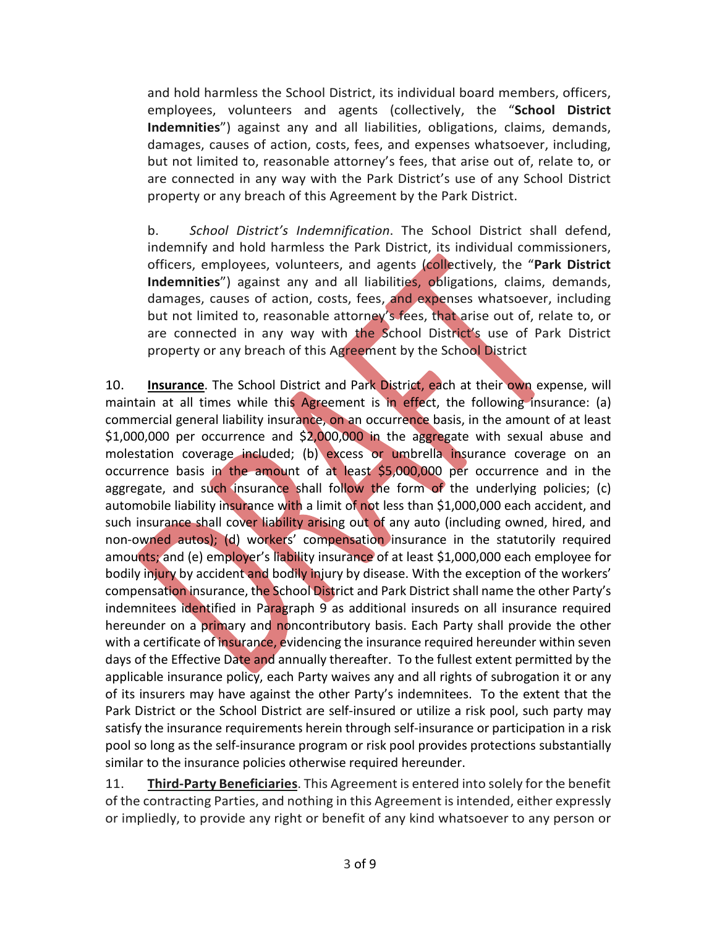and hold harmless the School District, its individual board members, officers, employees, volunteers and agents (collectively, the "**School District Indemnities**") against any and all liabilities, obligations, claims, demands, damages, causes of action, costs, fees, and expenses whatsoever, including, but not limited to, reasonable attorney's fees, that arise out of, relate to, or are connected in any way with the Park District's use of any School District property or any breach of this Agreement by the Park District.

b. *School District's Indemnification*. The School District shall defend, indemnify and hold harmless the Park District, its individual commissioners, officers, employees, volunteers, and agents (collectively, the "**Park District Indemnities**") against any and all liabilities, obligations, claims, demands, damages, causes of action, costs, fees, and expenses whatsoever, including but not limited to, reasonable attorney's fees, that arise out of, relate to, or are connected in any way with the School District's use of Park District property or any breach of this Agreement by the School District

10. **Insurance**. The School District and Park District, each at their own expense, will maintain at all times while this Agreement is in effect, the following insurance: (a) commercial general liability insurance, on an occurrence basis, in the amount of at least \$1,000,000 per occurrence and \$2,000,000 in the aggregate with sexual abuse and molestation coverage included; (b) excess or umbrella insurance coverage on an occurrence basis in the amount of at least \$5,000,000 per occurrence and in the aggregate, and such insurance shall follow the form of the underlying policies; (c) automobile liability insurance with a limit of not less than \$1,000,000 each accident, and such insurance shall cover liability arising out of any auto (including owned, hired, and non-owned autos); (d) workers' compensation insurance in the statutorily required amounts; and (e) employer's liability insurance of at least \$1,000,000 each employee for bodily injury by accident and bodily injury by disease. With the exception of the workers' compensation insurance, the School District and Park District shall name the other Party's indemnitees identified in Paragraph 9 as additional insureds on all insurance required hereunder on a primary and noncontributory basis. Each Party shall provide the other with a certificate of insurance, evidencing the insurance required hereunder within seven days of the Effective Date and annually thereafter. To the fullest extent permitted by the applicable insurance policy, each Party waives any and all rights of subrogation it or any of its insurers may have against the other Party's indemnitees. To the extent that the Park District or the School District are self-insured or utilize a risk pool, such party may satisfy the insurance requirements herein through self-insurance or participation in a risk pool so long as the self-insurance program or risk pool provides protections substantially similar to the insurance policies otherwise required hereunder.

11. **Third-Party Beneficiaries**. This Agreement is entered into solely for the benefit of the contracting Parties, and nothing in this Agreement is intended, either expressly or impliedly, to provide any right or benefit of any kind whatsoever to any person or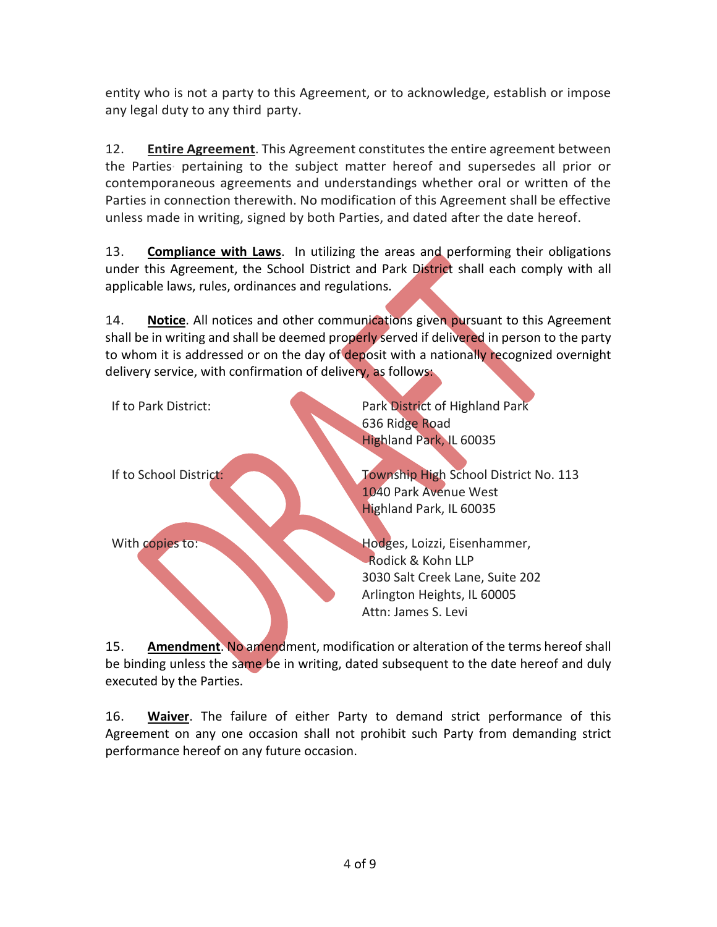entity who is not a party to this Agreement, or to acknowledge, establish or impose any legal duty to any third party.

12. **Entire Agreement**. This Agreement constitutes the entire agreement between the Parties· pertaining to the subject matter hereof and supersedes all prior or contemporaneous agreements and understandings whether oral or written of the Parties in connection therewith. No modification of this Agreement shall be effective unless made in writing, signed by both Parties, and dated after the date hereof.

13. **Compliance with Laws**. In utilizing the areas and performing their obligations under this Agreement, the School District and Park District shall each comply with all applicable laws, rules, ordinances and regulations.

14. **Notice**. All notices and other communications given pursuant to this Agreement shall be in writing and shall be deemed properly served if delivered in person to the party to whom it is addressed or on the day of deposit with a nationally recognized overnight delivery service, with confirmation of delivery, as follows:

| If to Park District:   | Park District of Highland Park                                                                                                             |
|------------------------|--------------------------------------------------------------------------------------------------------------------------------------------|
|                        | 636 Ridge Road                                                                                                                             |
|                        | <b>Highland Park, IL 60035</b>                                                                                                             |
| If to School District: | Township High School District No. 113<br>1040 Park Avenue West<br>Highland Park, IL 60035                                                  |
| With copies to:        | Hodges, Loizzi, Eisenhammer,<br>Rodick & Kohn LLP<br>3030 Salt Creek Lane, Suite 202<br>Arlington Heights, IL 60005<br>Attn: James S. Levi |

15. **Amendment**. No amendment, modification or alteration of the terms hereof shall be binding unless the same be in writing, dated subsequent to the date hereof and duly executed by the Parties.

16. **Waiver**. The failure of either Party to demand strict performance of this Agreement on any one occasion shall not prohibit such Party from demanding strict performance hereof on any future occasion.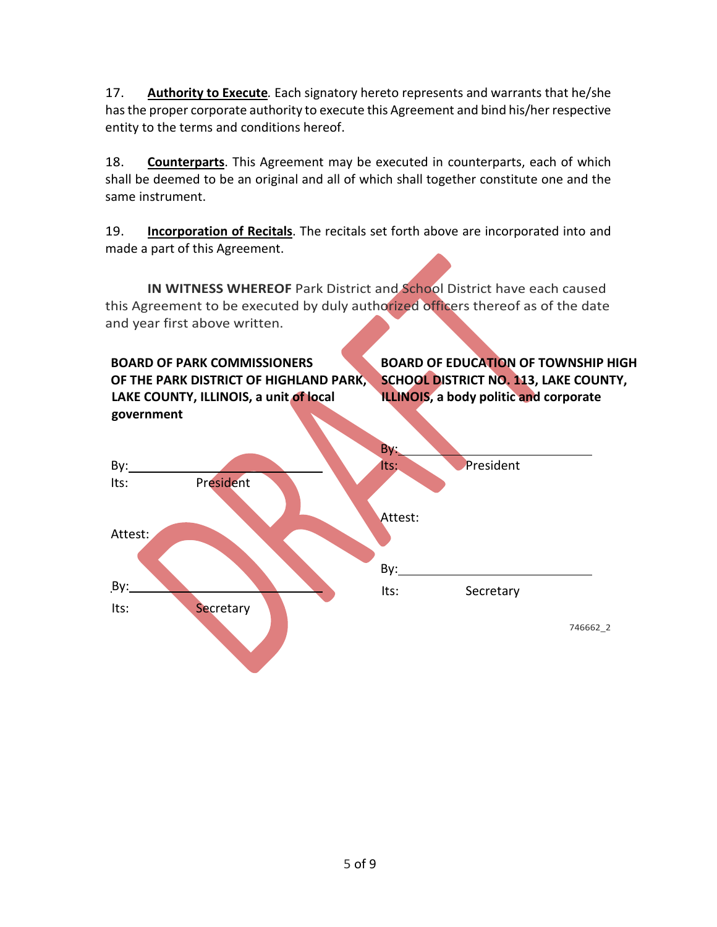17. **Authority to Execute***.* Each signatory hereto represents and warrants that he/she has the proper corporate authority to execute this Agreement and bind his/her respective entity to the terms and conditions hereof.

18. **Counterparts**. This Agreement may be executed in counterparts, each of which shall be deemed to be an original and all of which shall together constitute one and the same instrument.

19. **Incorporation of Recitals**. The recitals set forth above are incorporated into and made a part of this Agreement.

**IN WITNESS WHEREOF** Park District and School District have each caused this Agreement to be executed by duly authorized officers thereof as of the date and year first above written.

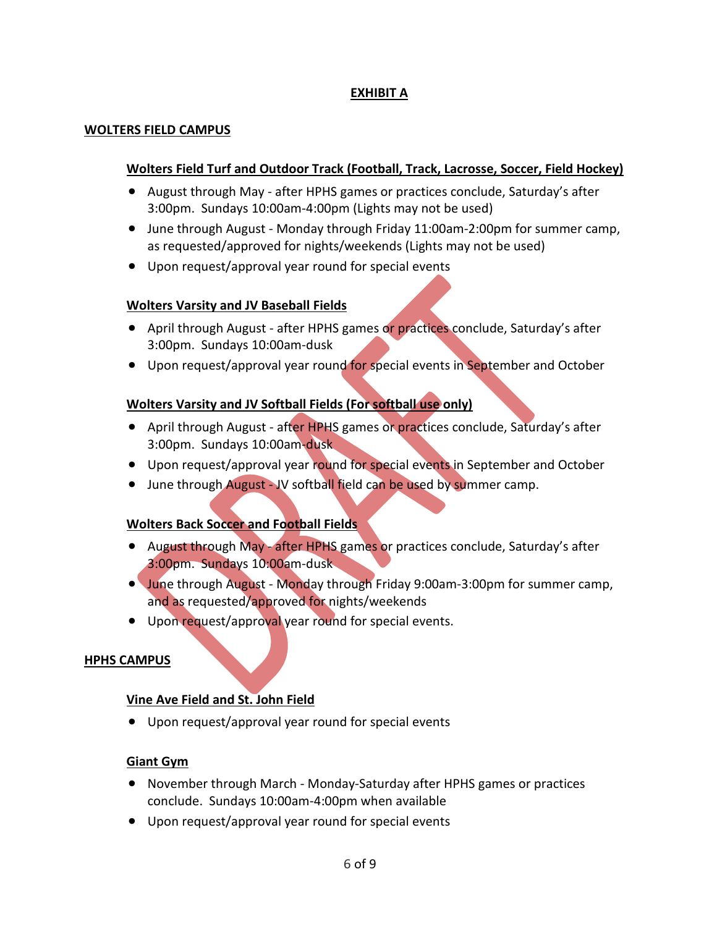#### **EXHIBIT A**

#### **WOLTERS FIELD CAMPUS**

#### **Wolters Field Turf and Outdoor Track (Football, Track, Lacrosse, Soccer, Field Hockey)**

- August through May after HPHS games or practices conclude, Saturday's after 3:00pm. Sundays 10:00am-4:00pm (Lights may not be used)
- June through August Monday through Friday 11:00am-2:00pm for summer camp, as requested/approved for nights/weekends (Lights may not be used)
- Upon request/approval year round for special events

#### **Wolters Varsity and JV Baseball Fields**

- April through August after HPHS games or practices conclude, Saturday's after 3:00pm. Sundays 10:00am-dusk
- Upon request/approval year round for special events in September and October

#### **Wolters Varsity and JV Softball Fields (For softball use only)**

- April through August after HPHS games or practices conclude, Saturday's after 3:00pm. Sundays 10:00am-dusk
- Upon request/approval year round for special events in September and October
- June through August JV softball field can be used by summer camp.

#### **Wolters Back Soccer and Football Fields**

- August through May after HPHS games or practices conclude, Saturday's after 3:00pm. Sundays 10:00am-dusk
- June through August Monday through Friday 9:00am-3:00pm for summer camp, and as requested/approved for nights/weekends
- Upon request/approval year round for special events.

#### **HPHS CAMPUS**

#### **Vine Ave Field and St. John Field**

• Upon request/approval year round for special events

#### **Giant Gym**

- November through March Monday-Saturday after HPHS games or practices conclude. Sundays 10:00am-4:00pm when available
- Upon request/approval year round for special events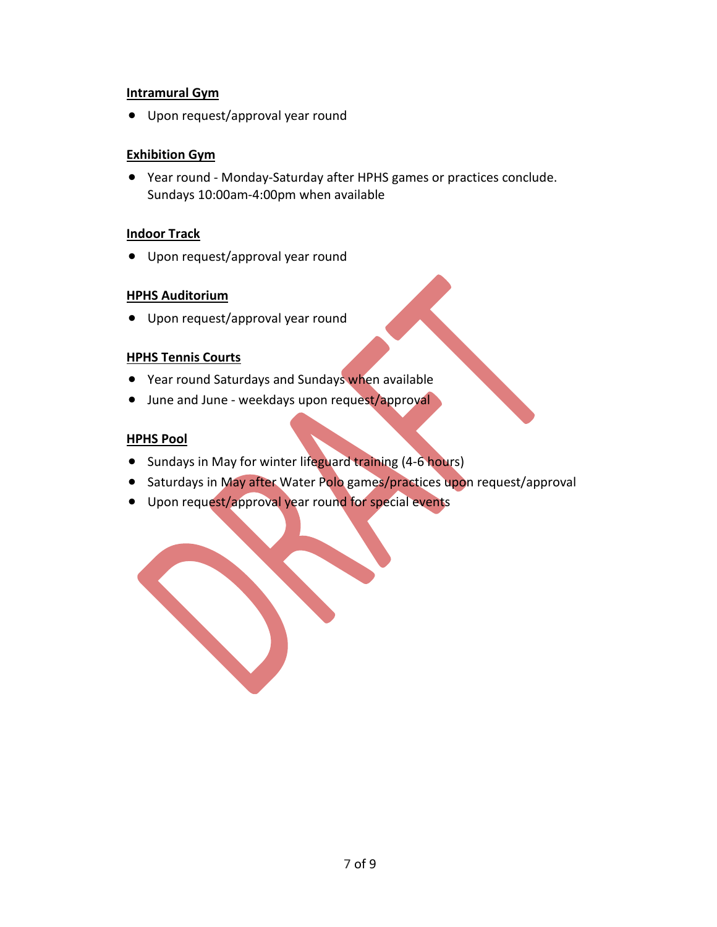#### **Intramural Gym**

• Upon request/approval year round

#### **Exhibition Gym**

• Year round - Monday-Saturday after HPHS games or practices conclude. Sundays 10:00am-4:00pm when available

#### **Indoor Track**

• Upon request/approval year round

#### **HPHS Auditorium**

• Upon request/approval year round

#### **HPHS Tennis Courts**

- Year round Saturdays and Sundays when available
- June and June weekdays upon request/approval

#### **HPHS Pool**

- Sundays in May for winter lifeguard training (4-6 hours)
- Saturdays in May after Water Polo games/practices upon request/approval
- Upon request/approval year round for special events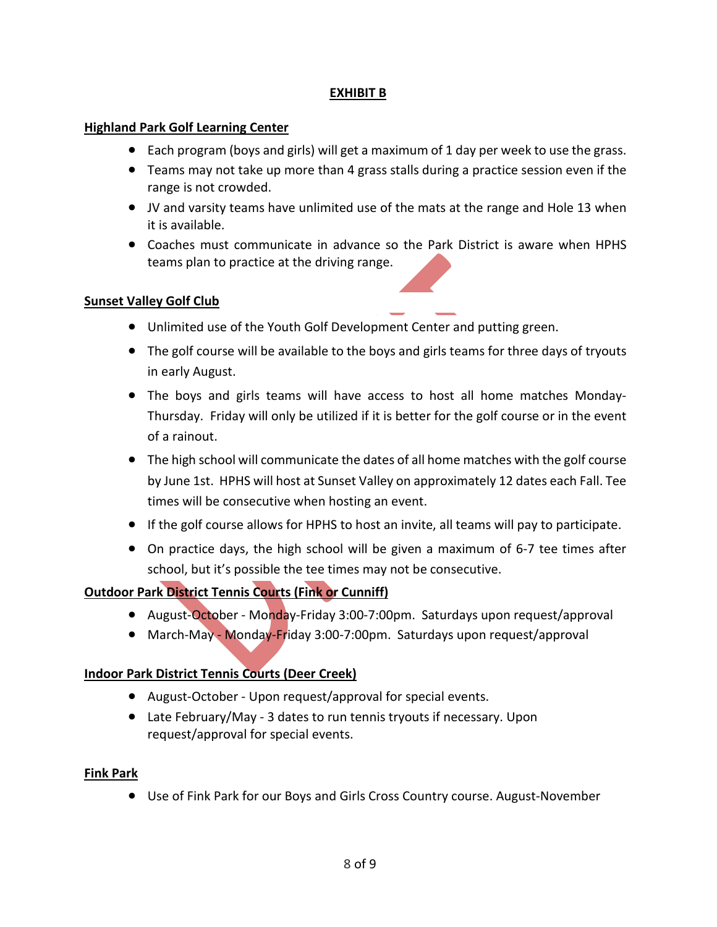#### **EXHIBIT B**

#### **Highland Park Golf Learning Center**

- Each program (boys and girls) will get a maximum of 1 day per week to use the grass.
- Teams may not take up more than 4 grass stalls during a practice session even if the range is not crowded.
- JV and varsity teams have unlimited use of the mats at the range and Hole 13 when it is available.
- Coaches must communicate in advance so the Park District is aware when HPHS teams plan to practice at the driving range.

#### **Sunset Valley Golf Club**

- Unlimited use of the Youth Golf Development Center and putting green.
- The golf course will be available to the boys and girls teams for three days of tryouts in early August.
- The boys and girls teams will have access to host all home matches Monday-Thursday. Friday will only be utilized if it is better for the golf course or in the event of a rainout.
- The high school will communicate the dates of all home matches with the golf course by June 1st. HPHS will host at Sunset Valley on approximately 12 dates each Fall. Tee times will be consecutive when hosting an event.
- If the golf course allows for HPHS to host an invite, all teams will pay to participate.
- On practice days, the high school will be given a maximum of 6-7 tee times after school, but it's possible the tee times may not be consecutive.

#### **Outdoor Park District Tennis Courts (Fink or Cunniff)**

- August-October Monday-Friday 3:00-7:00pm. Saturdays upon request/approval
- March-May Monday-Friday 3:00-7:00pm. Saturdays upon request/approval

#### **Indoor Park District Tennis Courts (Deer Creek)**

- August-October Upon request/approval for special events.
- Late February/May 3 dates to run tennis tryouts if necessary. Upon request/approval for special events.

#### **Fink Park**

• Use of Fink Park for our Boys and Girls Cross Country course. August-November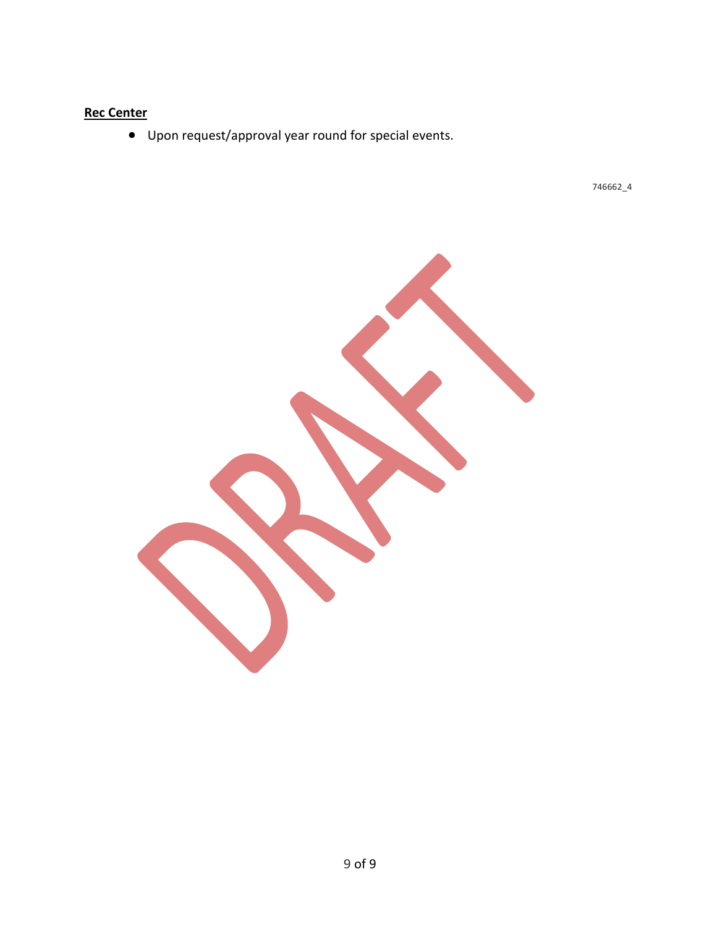### **Rec Center**

• Upon request/approval year round for special events.

746662\_4

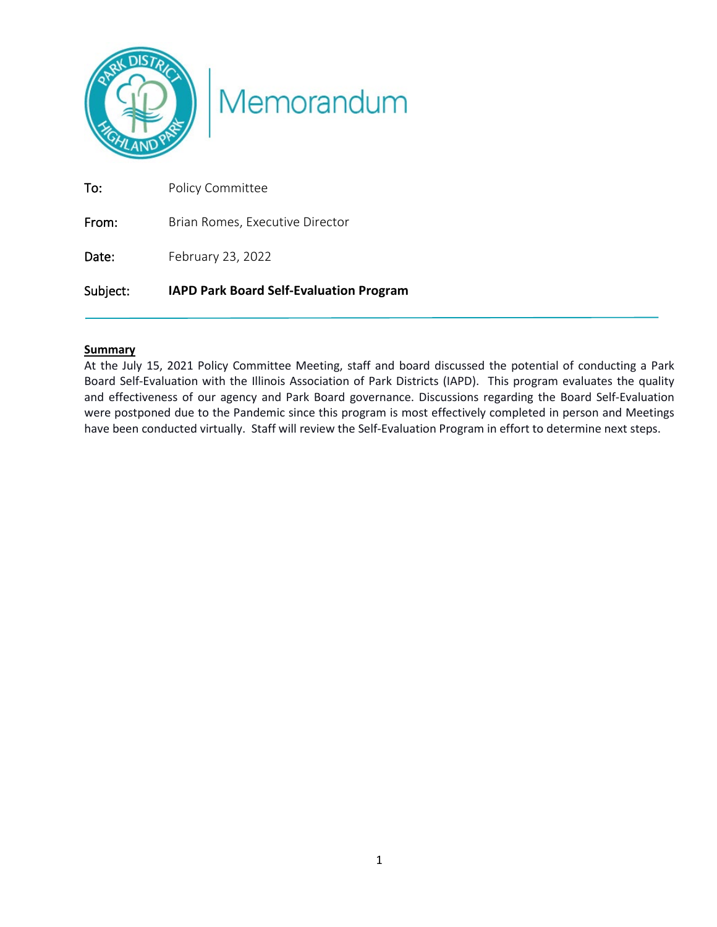

# Memorandum

| Subject: | <b>IAPD Park Board Self-Evaluation Program</b> |
|----------|------------------------------------------------|
| Date:    | February 23, 2022                              |
| From:    | Brian Romes, Executive Director                |
| To:      | Policy Committee                               |

#### **Summary**

At the July 15, 2021 Policy Committee Meeting, staff and board discussed the potential of conducting a Park Board Self-Evaluation with the Illinois Association of Park Districts (IAPD). This program evaluates the quality and effectiveness of our agency and Park Board governance. Discussions regarding the Board Self-Evaluation were postponed due to the Pandemic since this program is most effectively completed in person and Meetings have been conducted virtually. Staff will review the Self-Evaluation Program in effort to determine next steps.